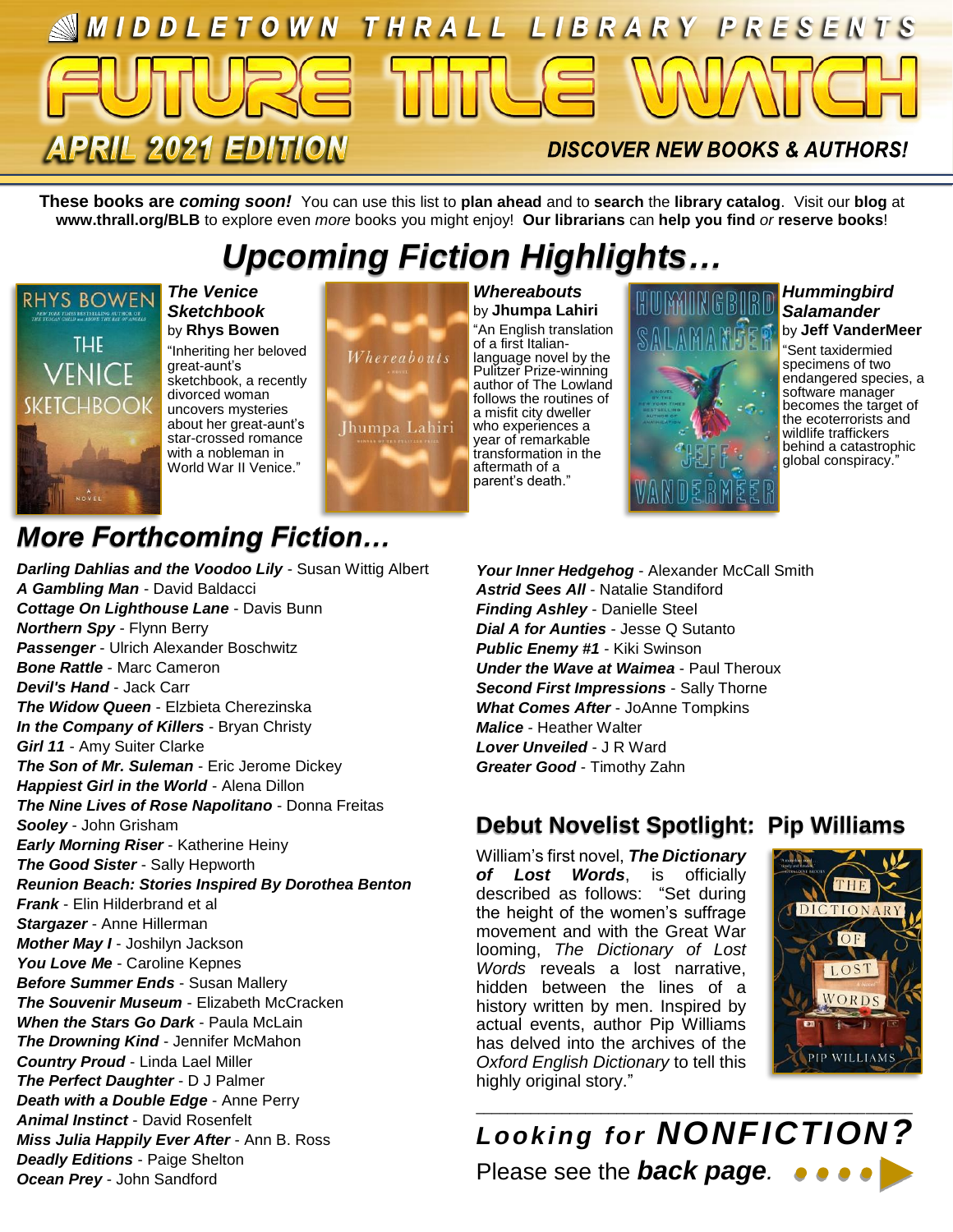

**These books are** *coming soon!* You can use this list to **plan ahead** and to **search** the **library catalog**. Visit our **blog** at **www.thrall.org/BLB** to explore even *more* books you might enjoy! **Our librarians** can **help you find** *or* **reserve books**!

# *Upcoming Fiction Highlights…*



*The Venice Sketchbook* by **Rhys Bowen**

"Inheriting her beloved great-aunt's sketchbook, a recently divorced woman uncovers mysteries about her great-aunt's star-crossed romance with a nobleman in World War II Venice."



*Whereabouts* by **Jhumpa Lahiri** "An English translation of a first Italianlanguage novel by the Pulitzer Prize-winning author of The Lowland follows the routines of a misfit city dweller who experiences a year of remarkable transformation in the aftermath of a parent's death."



#### *Hummingbird Salamander* by **Jeff VanderMeer**

"Sent taxidermied specimens of two endangered species, a software manager becomes the target of the ecoterrorists and wildlife traffickers behind a catastrophic global conspiracy."

## *More Forthcoming Fiction…*

*Darling Dahlias and the Voodoo Lily* - Susan Wittig Albert *A Gambling Man* - David Baldacci *Cottage On Lighthouse Lane* - Davis Bunn *Northern Spy* - Flynn Berry *Passenger* - Ulrich Alexander Boschwitz *Bone Rattle* - Marc Cameron *Devil's Hand* - Jack Carr *The Widow Queen* - Elzbieta Cherezinska *In the Company of Killers* - Bryan Christy *Girl 11* - Amy Suiter Clarke *The Son of Mr. Suleman* - Eric Jerome Dickey *Happiest Girl in the World* - Alena Dillon *The Nine Lives of Rose Napolitano* - Donna Freitas *Sooley* - John Grisham *Early Morning Riser* - Katherine Heiny *The Good Sister* - Sally Hepworth *Reunion Beach: Stories Inspired By Dorothea Benton Frank* - Elin Hilderbrand et al *Stargazer* - Anne Hillerman *Mother May I* - Joshilyn Jackson *You Love Me* - Caroline Kepnes *Before Summer Ends* - Susan Mallery *The Souvenir Museum - Elizabeth McCracken When the Stars Go Dark* - Paula McLain *The Drowning Kind* - Jennifer McMahon *Country Proud* - Linda Lael Miller *The Perfect Daughter* - D J Palmer *Death with a Double Edge* - Anne Perry *Animal Instinct* - David Rosenfelt *Miss Julia Happily Ever After* - Ann B. Ross *Deadly Editions* - Paige Shelton *Ocean Prey* - John Sandford

*Your Inner Hedgehog* - Alexander McCall Smith *Astrid Sees All* - Natalie Standiford *Finding Ashley* - Danielle Steel *Dial A for Aunties* - Jesse Q Sutanto *Public Enemy #1* - Kiki Swinson *Under the Wave at Waimea* - Paul Theroux *Second First Impressions* - Sally Thorne *What Comes After* - JoAnne Tompkins *Malice* - Heather Walter *Lover Unveiled* - J R Ward *Greater Good* - Timothy Zahn

### **Debut Novelist Spotlight: Pip Williams**

William's first novel, *The Dictionary of Lost Words*, is officially described as follows: "Set during the height of the women's suffrage movement and with the Great War looming, *The Dictionary of Lost Words* reveals a lost narrative, hidden between the lines of a history written by men. Inspired by actual events, author Pip Williams has delved into the archives of the *Oxford English Dictionary* to tell this highly original story."



*Looking for NONFICTION?* Please see the *back page.*

\_\_\_\_\_\_\_\_\_\_\_\_\_\_\_\_\_\_\_\_\_\_\_\_\_\_\_\_\_\_\_\_\_\_\_\_\_\_\_\_\_\_\_\_\_\_\_\_\_\_\_\_\_\_\_\_